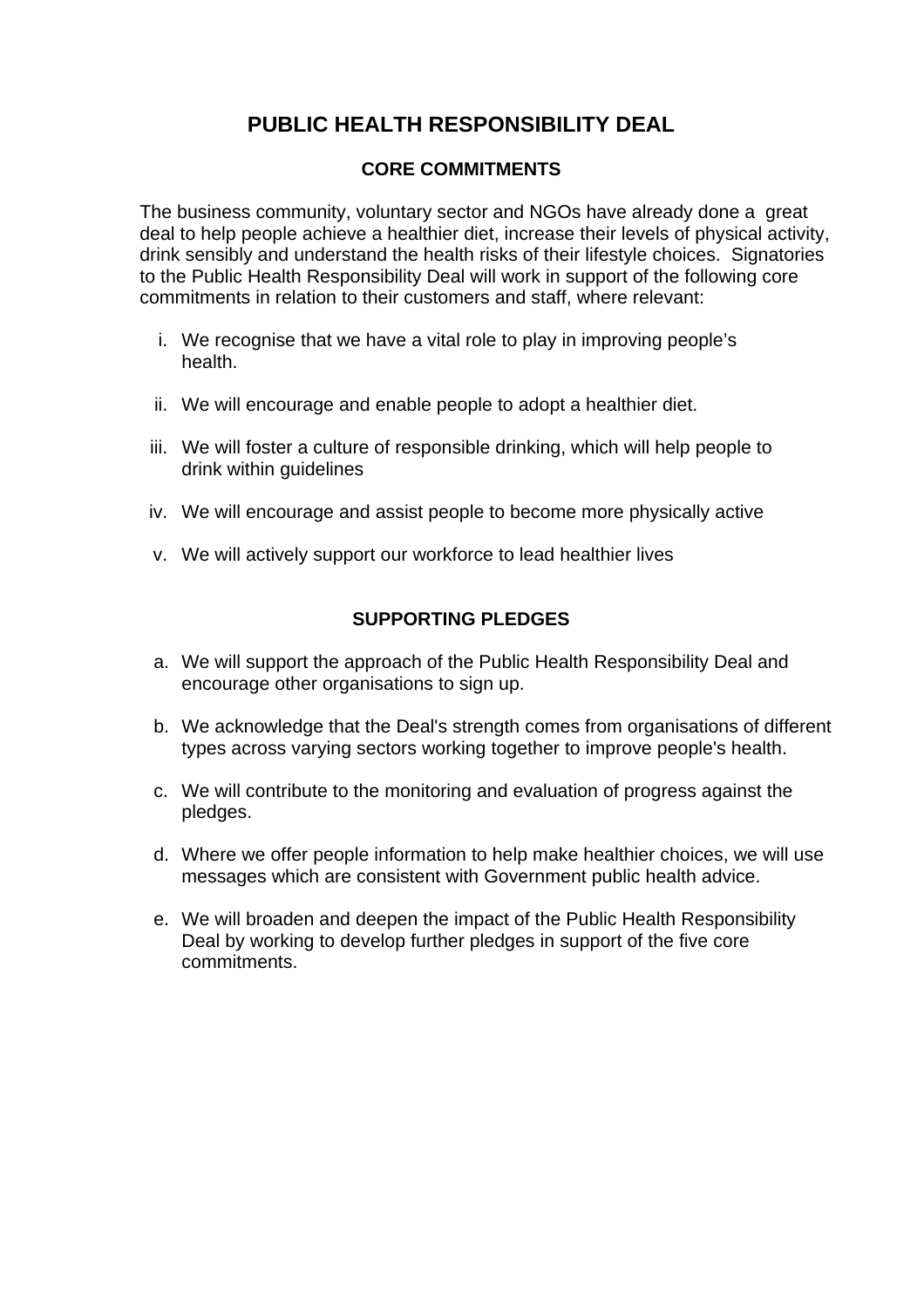# **PUBLIC HEALTH RESPONSIBILITY DEAL**

### **CORE COMMITMENTS**

The business community, voluntary sector and NGOs have already done a great deal to help people achieve a healthier diet, increase their levels of physical activity, drink sensibly and understand the health risks of their lifestyle choices. Signatories to the Public Health Responsibility Deal will work in support of the following core commitments in relation to their customers and staff, where relevant:

- i. We recognise that we have a vital role to play in improving people's health.
- ii. We will encourage and enable people to adopt a healthier diet.
- iii. We will foster a culture of responsible drinking, which will help people to drink within guidelines
- iv. We will encourage and assist people to become more physically active
- v. We will actively support our workforce to lead healthier lives

### **SUPPORTING PLEDGES**

- a. We will support the approach of the Public Health Responsibility Deal and encourage other organisations to sign up.
- b. We acknowledge that the Deal's strength comes from organisations of different types across varying sectors working together to improve people's health.
- c. We will contribute to the monitoring and evaluation of progress against the pledges.
- d. Where we offer people information to help make healthier choices, we will use messages which are consistent with Government public health advice.
- e. We will broaden and deepen the impact of the Public Health Responsibility Deal by working to develop further pledges in support of the five core commitments.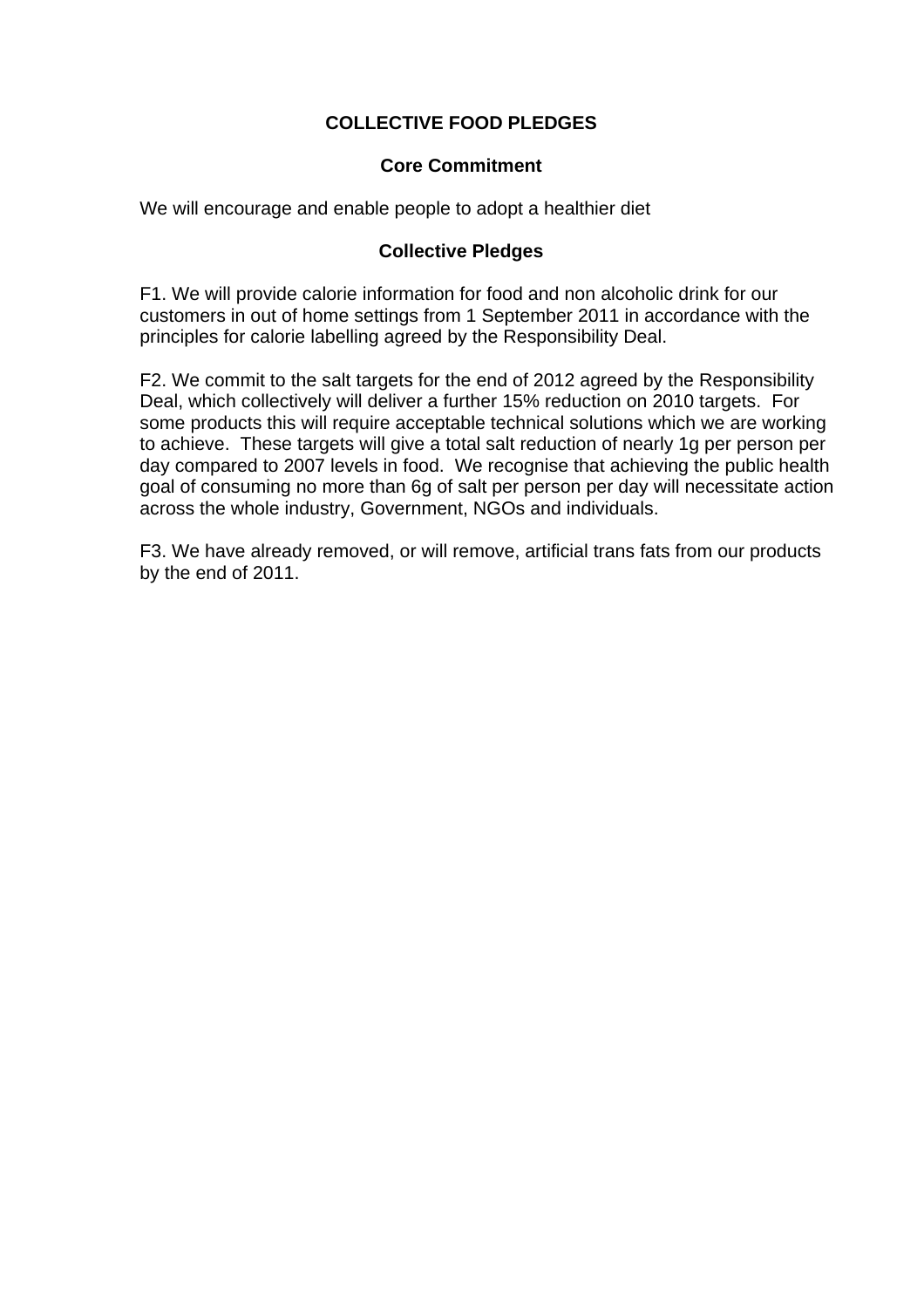## **COLLECTIVE FOOD PLEDGES**

#### **Core Commitment**

We will encourage and enable people to adopt a healthier diet

#### **Collective Pledges**

F1. We will provide calorie information for food and non alcoholic drink for our customers in out of home settings from 1 September 2011 in accordance with the principles for calorie labelling agreed by the Responsibility Deal.

F2. We commit to the salt targets for the end of 2012 agreed by the Responsibility Deal, which collectively will deliver a further 15% reduction on 2010 targets. For some products this will require acceptable technical solutions which we are working to achieve. These targets will give a total salt reduction of nearly 1g per person per day compared to 2007 levels in food. We recognise that achieving the public health goal of consuming no more than 6g of salt per person per day will necessitate action across the whole industry, Government, NGOs and individuals.

F3. We have already removed, or will remove, artificial trans fats from our products by the end of 2011.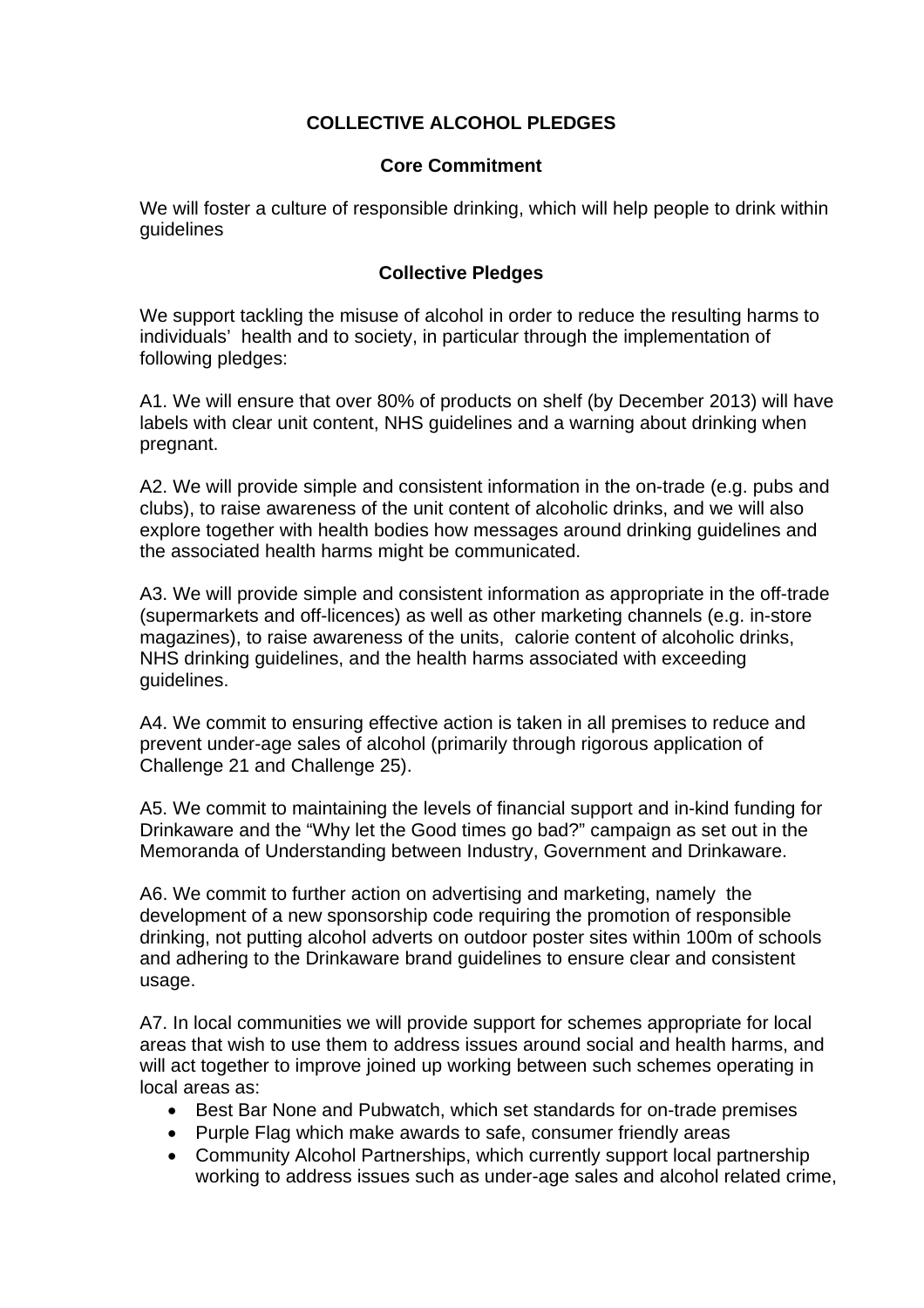## **COLLECTIVE ALCOHOL PLEDGES**

#### **Core Commitment**

We will foster a culture of responsible drinking, which will help people to drink within guidelines

### **Collective Pledges**

We support tackling the misuse of alcohol in order to reduce the resulting harms to individuals' health and to society, in particular through the implementation of following pledges:

A1. We will ensure that over 80% of products on shelf (by December 2013) will have labels with clear unit content, NHS guidelines and a warning about drinking when pregnant.

A2. We will provide simple and consistent information in the on-trade (e.g. pubs and clubs), to raise awareness of the unit content of alcoholic drinks, and we will also explore together with health bodies how messages around drinking guidelines and the associated health harms might be communicated.

A3. We will provide simple and consistent information as appropriate in the off-trade (supermarkets and off-licences) as well as other marketing channels (e.g. in-store magazines), to raise awareness of the units, calorie content of alcoholic drinks, NHS drinking guidelines, and the health harms associated with exceeding guidelines.

A4. We commit to ensuring effective action is taken in all premises to reduce and prevent under-age sales of alcohol (primarily through rigorous application of Challenge 21 and Challenge 25).

A5. We commit to maintaining the levels of financial support and in-kind funding for Drinkaware and the "Why let the Good times go bad?" campaign as set out in the Memoranda of Understanding between Industry, Government and Drinkaware.

A6. We commit to further action on advertising and marketing, namely the development of a new sponsorship code requiring the promotion of responsible drinking, not putting alcohol adverts on outdoor poster sites within 100m of schools and adhering to the Drinkaware brand guidelines to ensure clear and consistent usage.

A7. In local communities we will provide support for schemes appropriate for local areas that wish to use them to address issues around social and health harms, and will act together to improve joined up working between such schemes operating in local areas as:

- Best Bar None and Pubwatch, which set standards for on-trade premises
- Purple Flag which make awards to safe, consumer friendly areas
- Community Alcohol Partnerships, which currently support local partnership working to address issues such as under-age sales and alcohol related crime,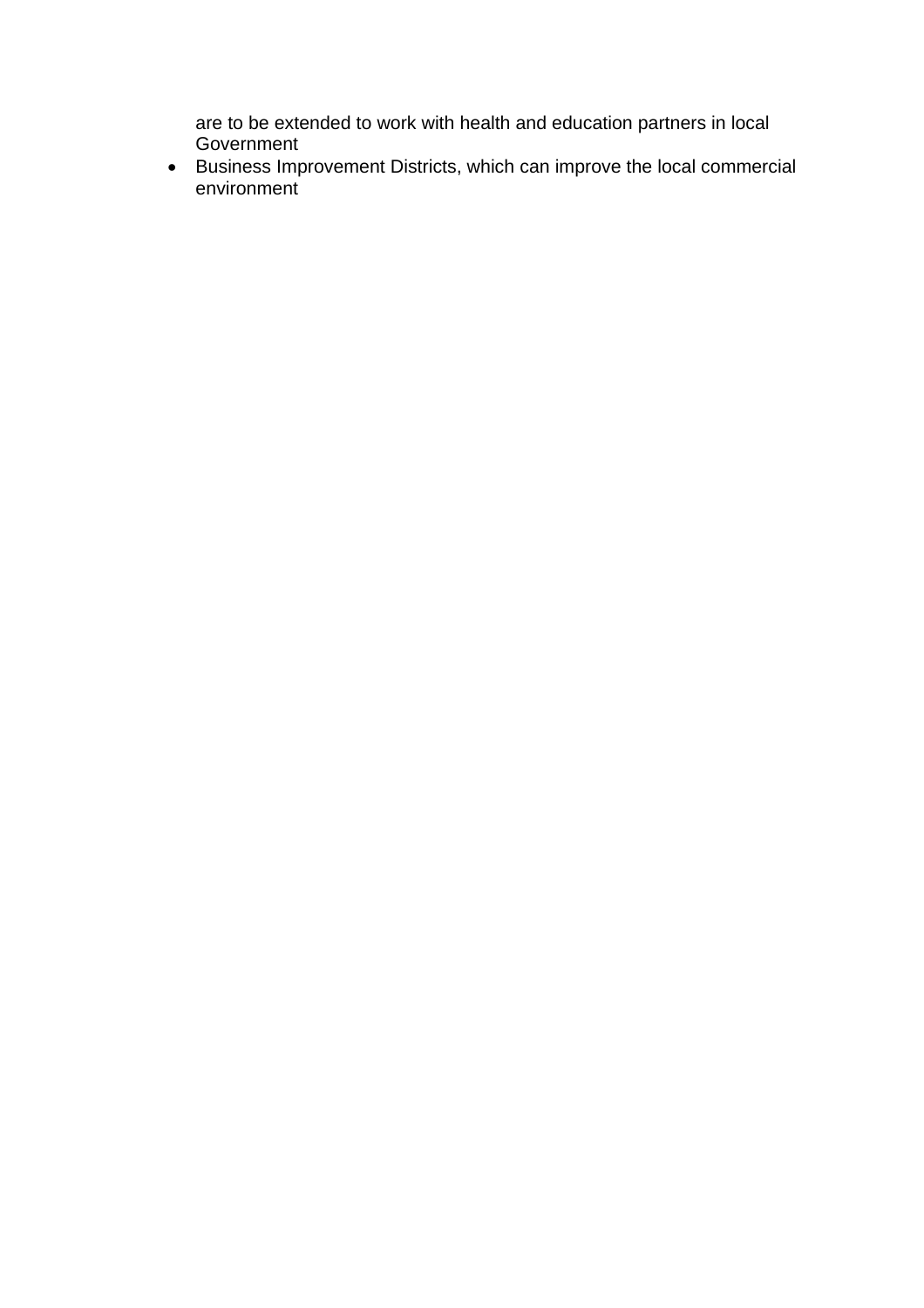are to be extended to work with health and education partners in local Government

• Business Improvement Districts, which can improve the local commercial environment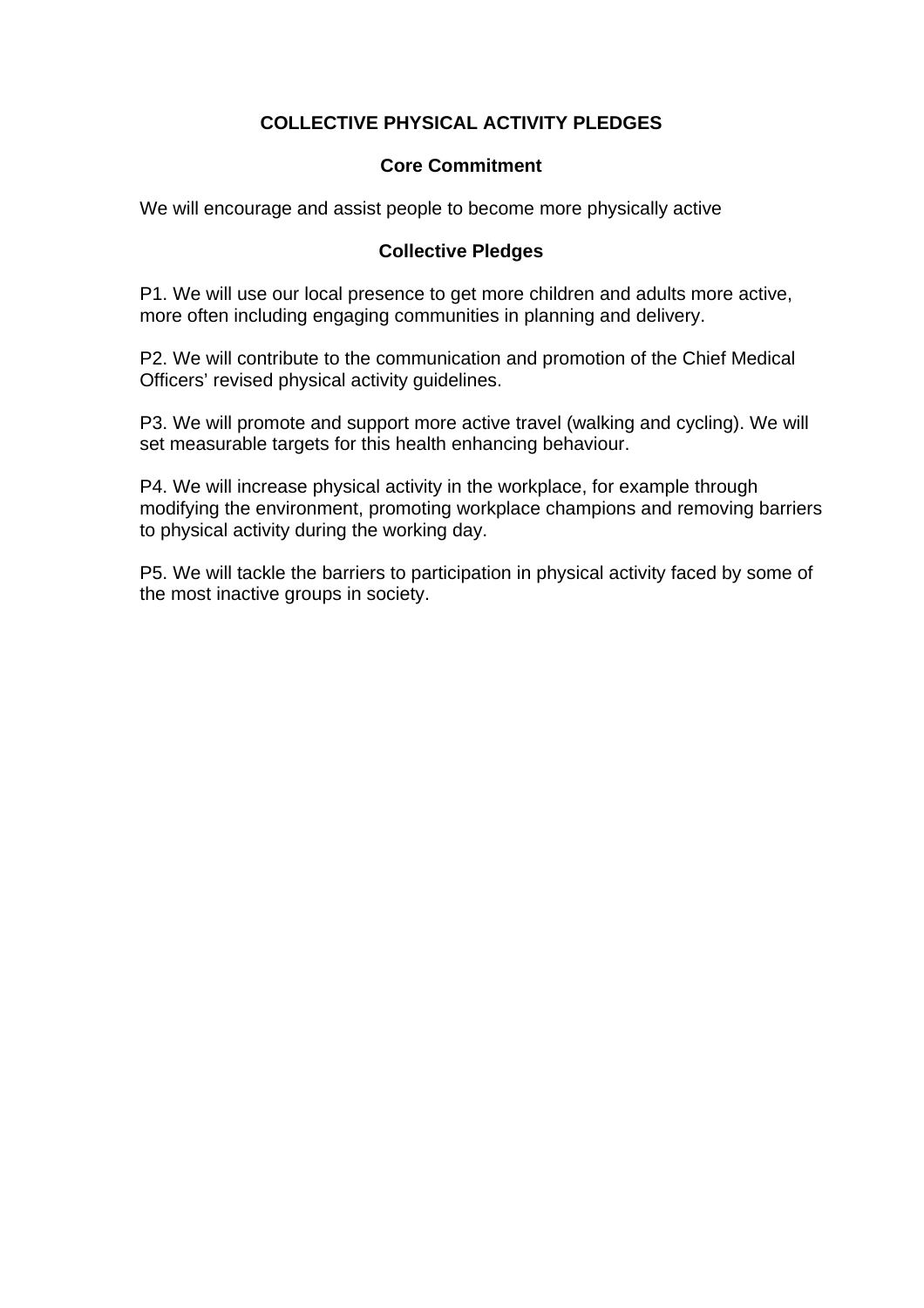# **COLLECTIVE PHYSICAL ACTIVITY PLEDGES**

#### **Core Commitment**

We will encourage and assist people to become more physically active

### **Collective Pledges**

P1. We will use our local presence to get more children and adults more active, more often including engaging communities in planning and delivery.

P2. We will contribute to the communication and promotion of the Chief Medical Officers' revised physical activity guidelines.

P3. We will promote and support more active travel (walking and cycling). We will set measurable targets for this health enhancing behaviour.

P4. We will increase physical activity in the workplace, for example through modifying the environment, promoting workplace champions and removing barriers to physical activity during the working day.

P5. We will tackle the barriers to participation in physical activity faced by some of the most inactive groups in society.